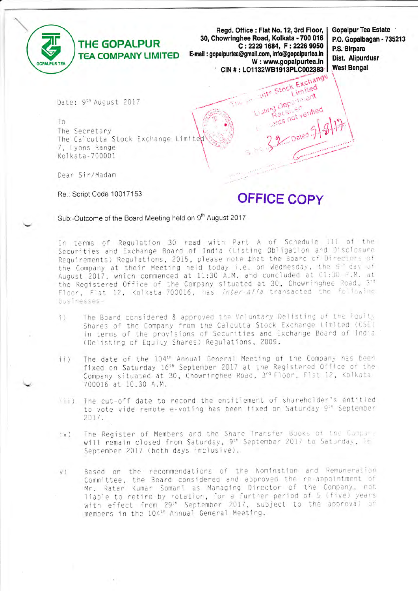

Read. Office: Flat No. 12, 3rd Floor, I 30, Chowringhee Road, Kolkata - 700 016 C: 2229 1684, F: 2226 9950 E-mail: gopalpurtea@gmail.com, info@gopalpurtea.in W: www.gopalpurtea.in CIN #: LO1132WB1913PLC002383 Stite Stock Exchange

e Gu

**Gopalpur Tea Estate** P.O. Gopalbagan - 735213 P.S. Birpara Dist. Alipurduar **West Bengal** 

Date: 9<sup>th</sup> August 2017

To. The Secretary The Calcutta Stock Exchange Limited 7. Lyons Range Kolkata-700001

Dear Sir/Madam

Re.: Script Code 10017153

**OFFICE COPY** 

sting Department

ecsileo its not verified

Sub:-Outcome of the Board Meeting held on 9th August 2017

In terms of Regulation 30 read with Part A of Schedule III of the Securities and Exchange Board of India (Listing Obligation and Disclosure Requirements) Requlations, 2015, please note that the Board of Directors of the Company at their Meeting held today i.e. on Wednesday, the 9" day of August 2017, which commenced at 11:30 A.M. and concluded at 01:30 P.M. at the Registered Office of the Company situated at 30, Chowringhee Road, 3rd Floor, Flat 12, Kolkata-700016, has inter-alia transacted the following businesses-

- The Board considered & approved the Voluntary Delisting of the Fquity  $\uparrow$ Shares of the Company from the Calcutta Stock Exchange Limited (CSE) in terms of the provisions of Securities and Exchange Board of India (Delisting of Equity Shares) Regulations, 2009.
- The date of the 104<sup>th</sup> Annual General Meeting of the Company has been  $11)$ fixed on Saturday 16<sup>th</sup> September 2017 at the Registered Office of the Company situated at 30, Chowringhee Road, 3rd Floor, Flat 12, Kolkata 700016 at 10.30 A.M.
- The cut-off date to record the entitlement of shareholder's entitled  $iii)$ to vote vide remote e-voting has been fixed on Saturday 9" September 2017.
- The Register of Members and the Share Transfer Books of the Company  $iv)$ will remain closed from Saturday, 9<sup>th</sup> September 2017 to Saturday, 16" September 2017 (both days inclusive).
- Based on the recommendations of the Nomination and Remuneration  $V)$ Committee, the Board considered and approved the re-appointment of Mr. Ratan Kumar Somani as Managing Director of the Company, not liable to retire by rotation, for a further period of 5 (five) years<br>with effect from 29<sup>th</sup> September 2017, subject to the approval of members in the 104<sup>th</sup> Annual General Meeting.